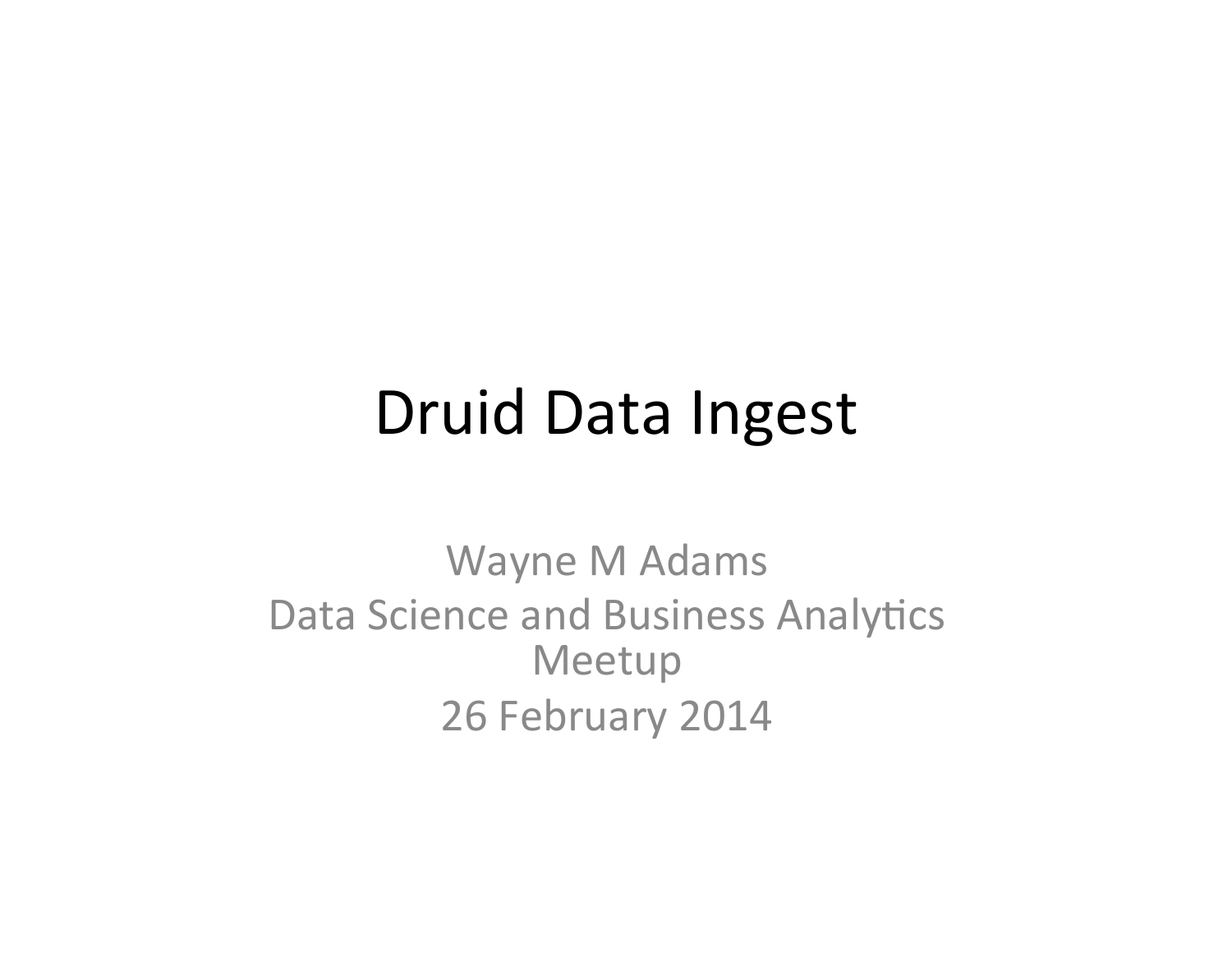#### Druid Data Ingest

Wayne M Adams Data Science and Business Analytics Meetup 26 February 2014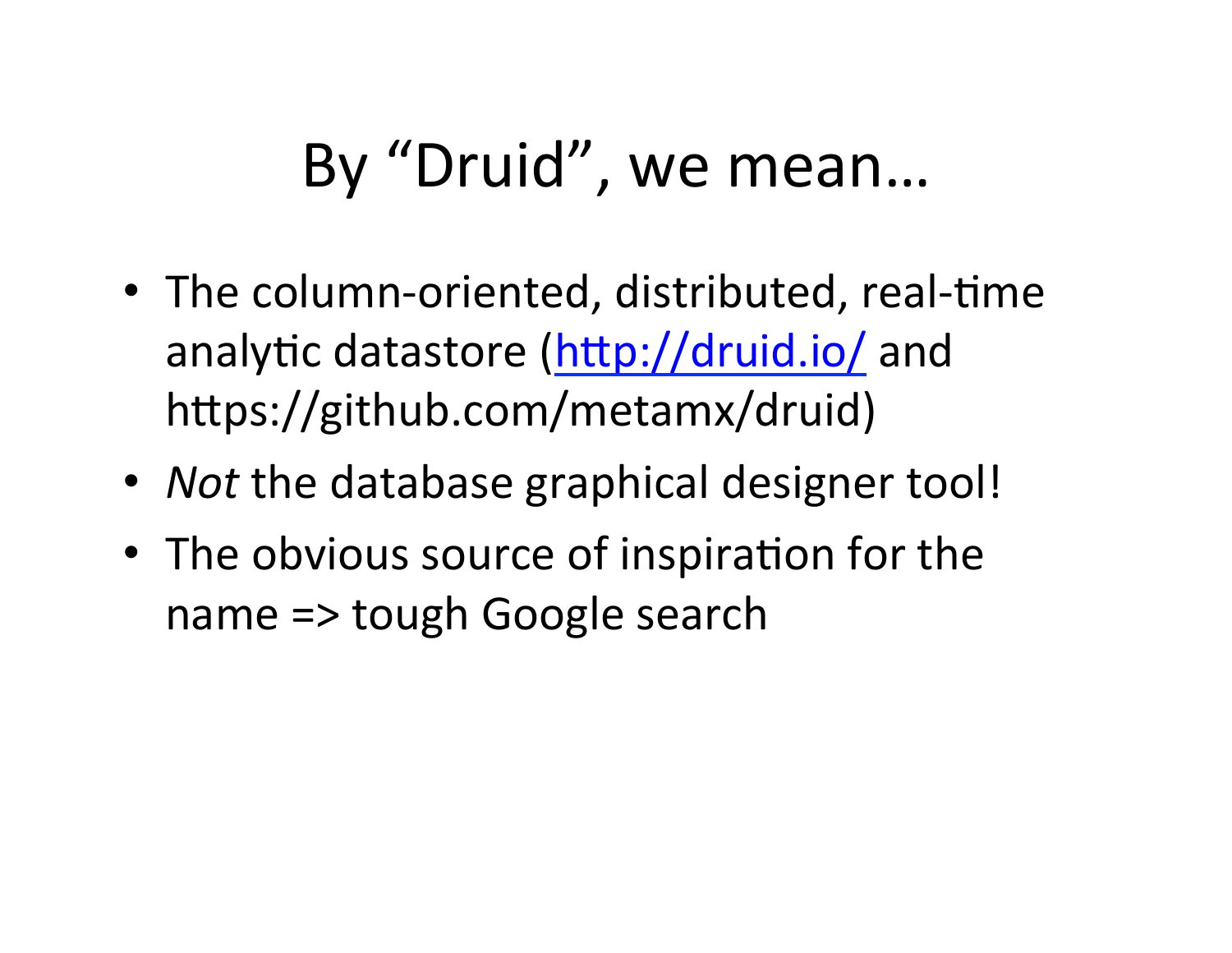## By "Druid", we mean...

- The column-oriented, distributed, real-time analytic datastore (http://druid.io/ and https://github.com/metamx/druid)
- *Not* the database graphical designer tool!
- The obvious source of inspiration for the name => tough Google search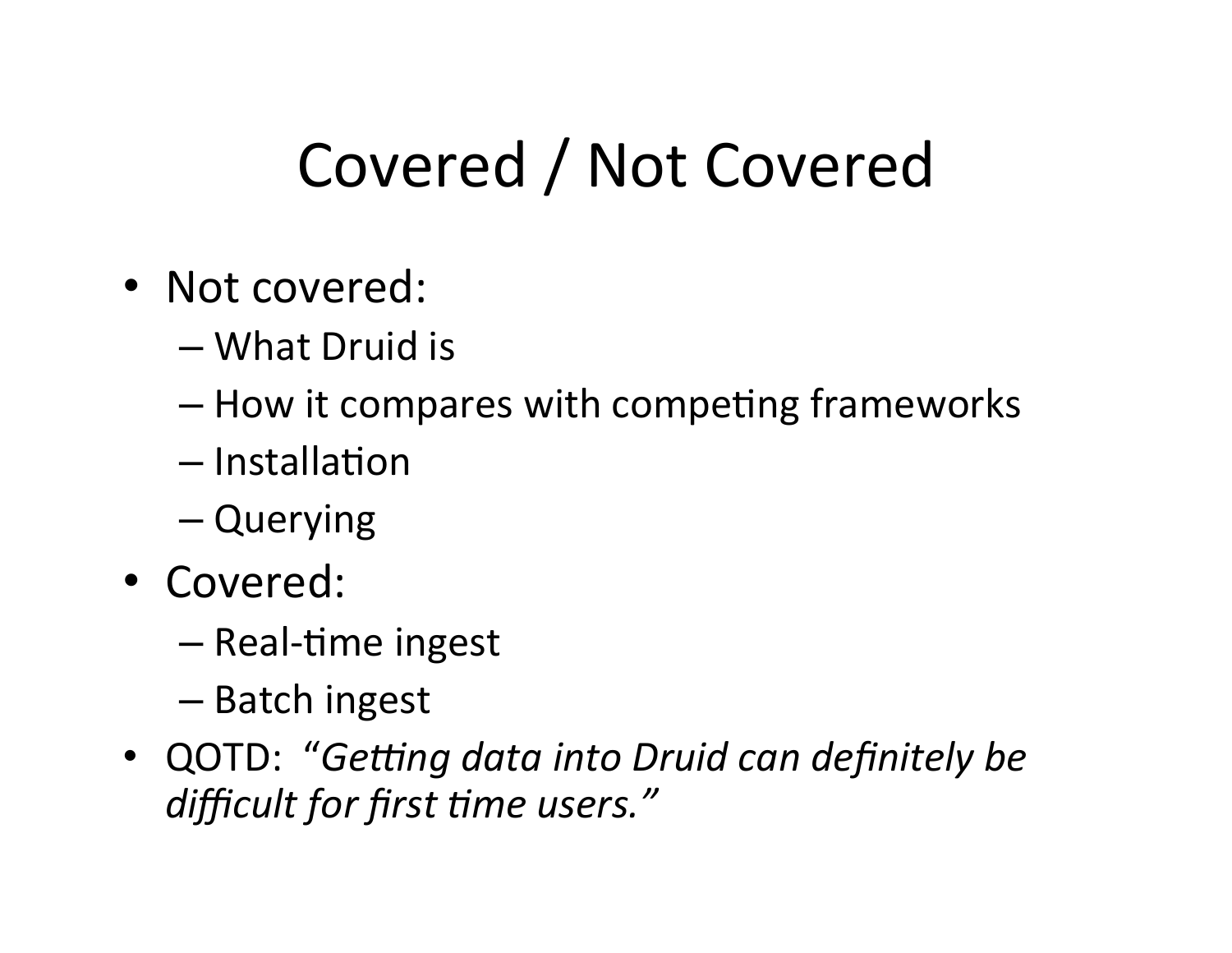## Covered / Not Covered

- Not covered:
	- What Druid is
	- $-$  How it compares with competing frameworks
	- $-$ Installation
	- Querying
- Covered:
	- Real-time ingest
	- Batch ingest
- QOTD: "Getting data into Druid can definitely be difficult for first time users."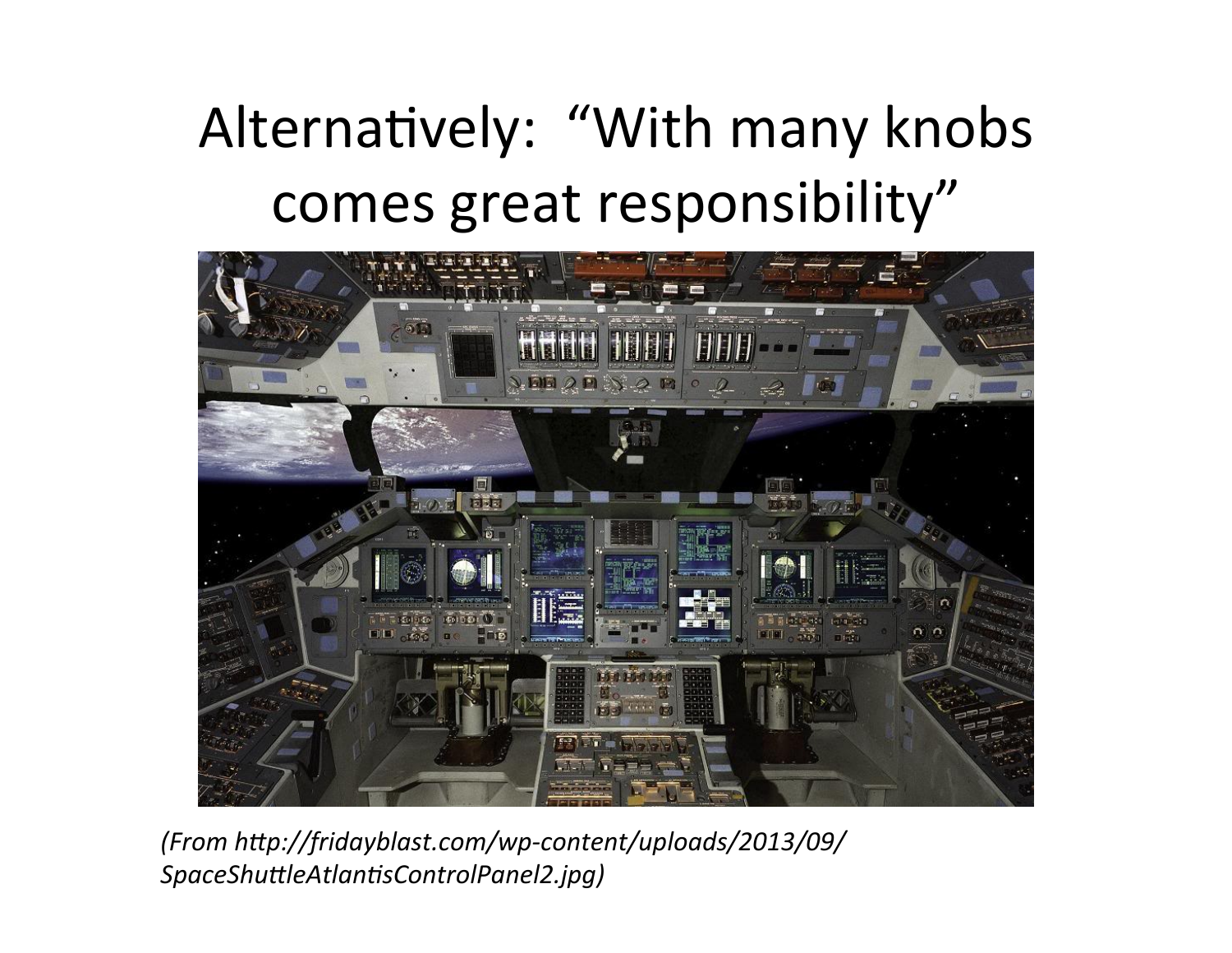### Alternatively: "With many knobs comes great responsibility"



*(From h?p://fridayblast.com/wp-content/uploads/2013/09/* SpaceShuttleAtlantisControlPanel2.jpg)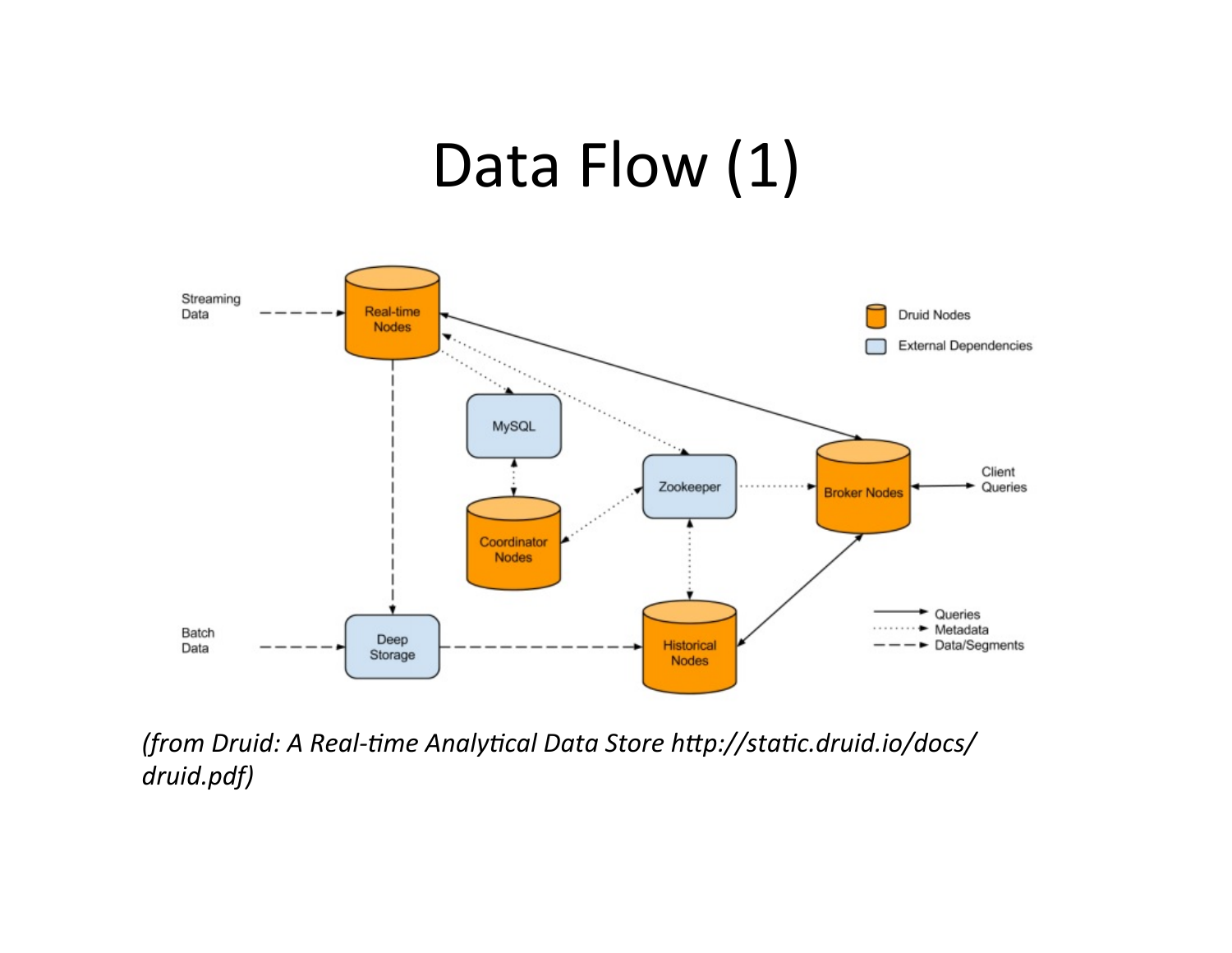#### Data Flow (1)



*(from Druid: A Real-8me Analy8cal Data Store h?p://sta8c.druid.io/docs/ druid.pdf)*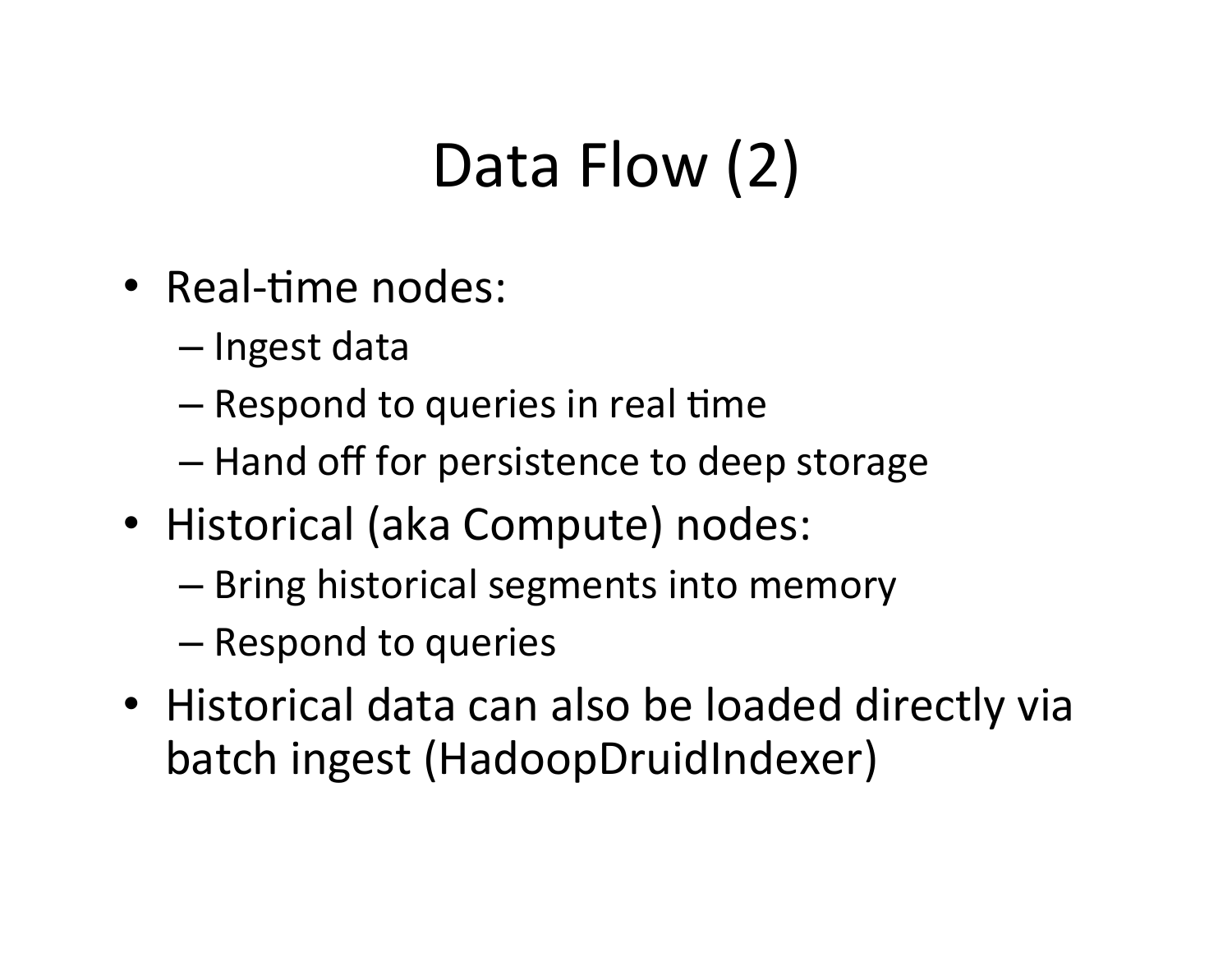# Data Flow (2)

- Real-time nodes:
	- Ingest data
	- $-$  Respond to queries in real time
	- $-$  Hand off for persistence to deep storage
- Historical (aka Compute) nodes:
	- Bring historical segments into memory
	- Respond to queries
- Historical data can also be loaded directly via batch ingest (HadoopDruidIndexer)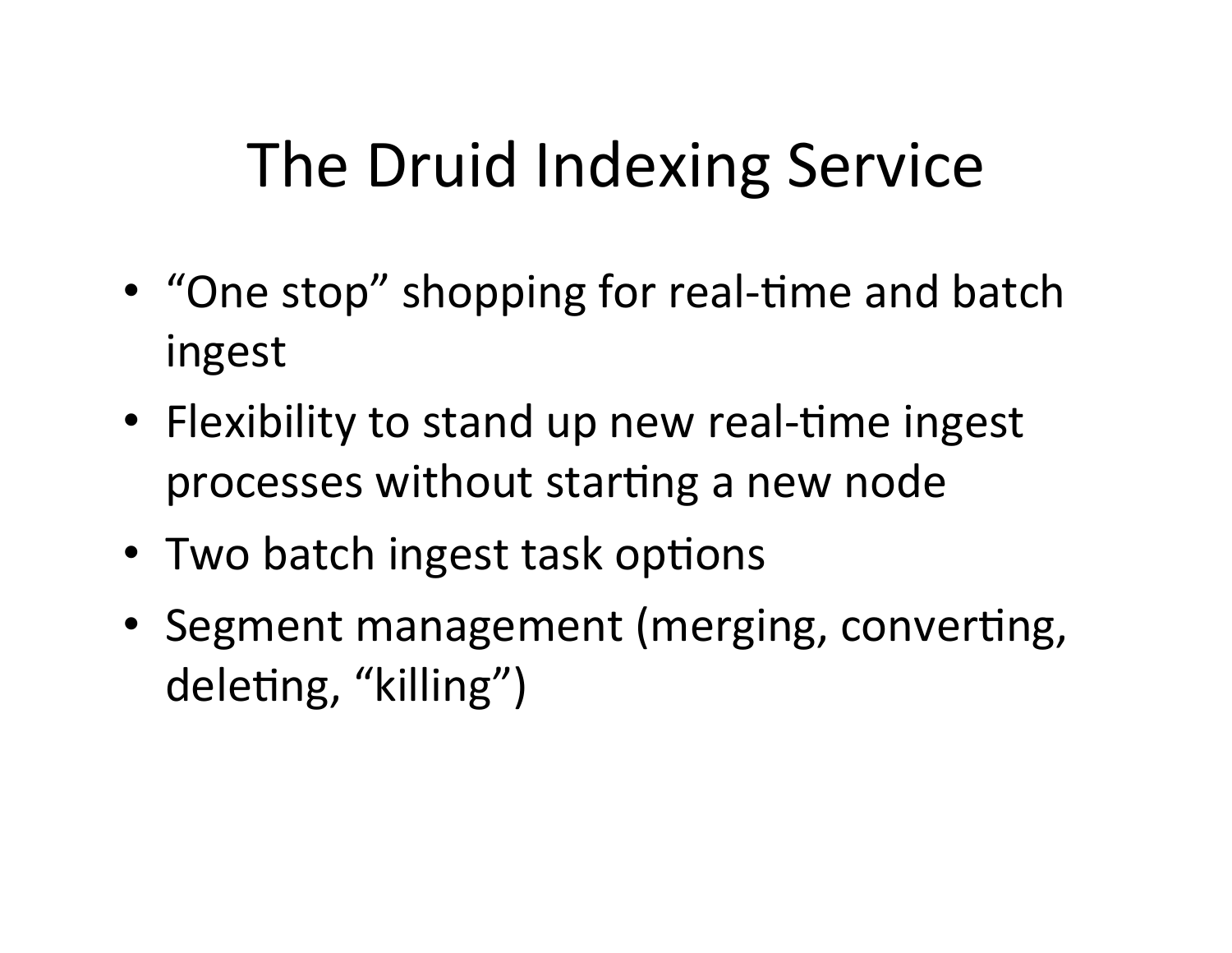## The Druid Indexing Service

- "One stop" shopping for real-time and batch ingest
- Flexibility to stand up new real-time ingest processes without starting a new node
- Two batch ingest task options
- Segment management (merging, converting, deleting, "killing")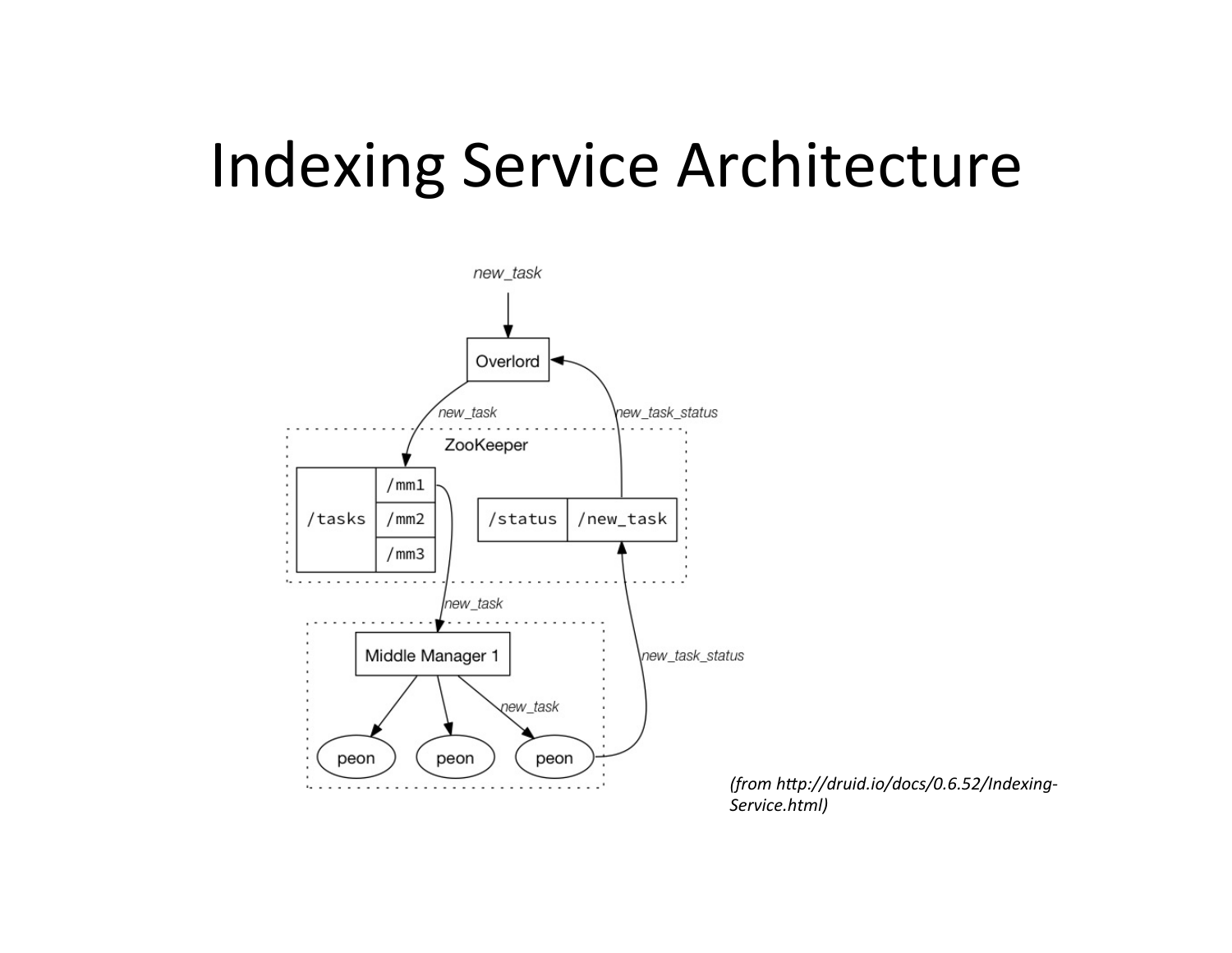#### Indexing Service Architecture



*(from h?p://druid.io/docs/0.6.52/Indexing-Service.html)*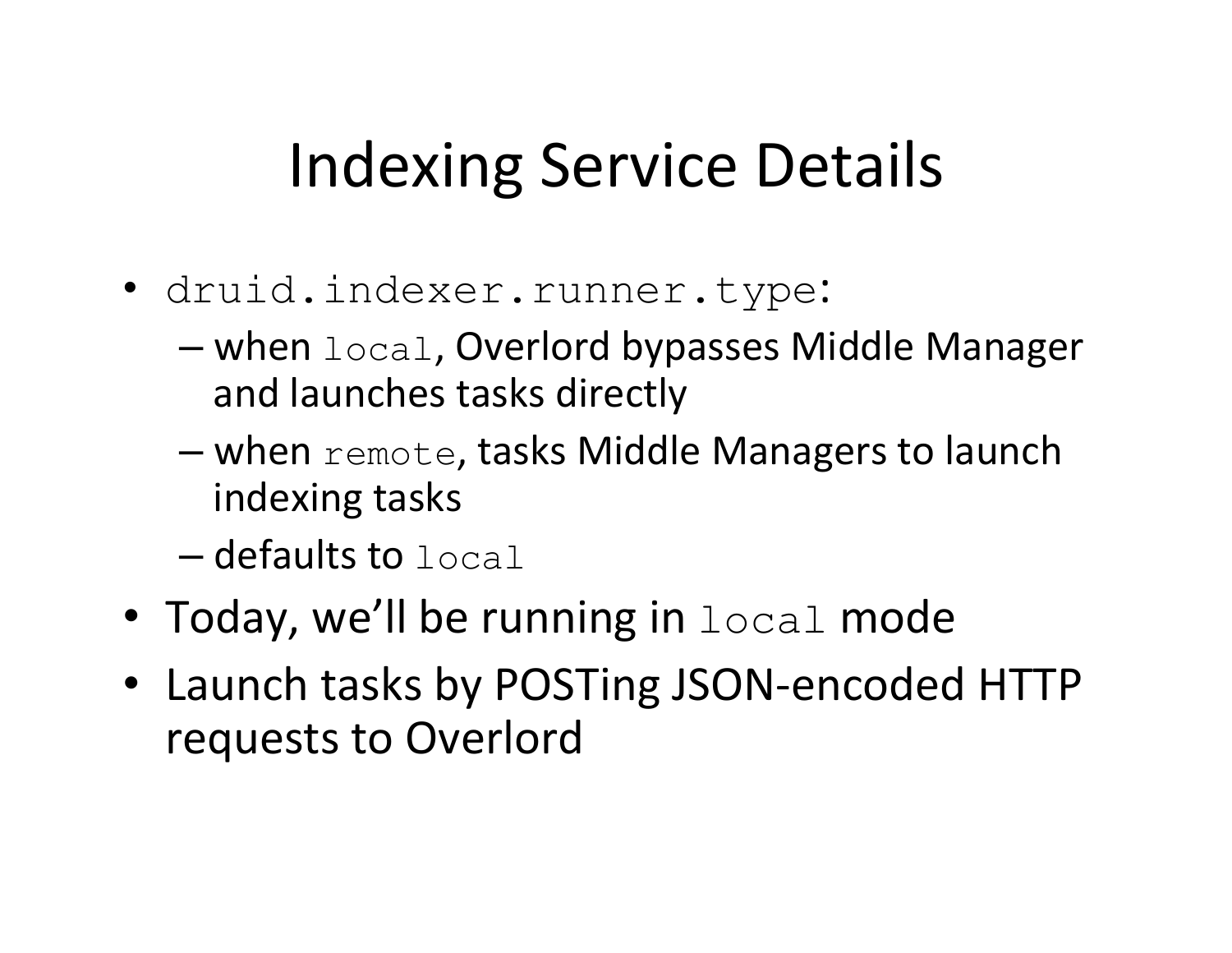## Indexing Service Details

- druid.indexer.runner.type:
	- $-$  when  $1$ <sub>O</sub>cal, Overlord bypasses Middle Manager and launches tasks directly
	- $-$  when  $\text{remote}$ , tasks Middle Managers to launch indexing tasks
	- $-$  defaults to  $\text{local}$
- Today, we'll be running in  $local$  mode
- Launch tasks by POSTing JSON-encoded HTTP requests to Overlord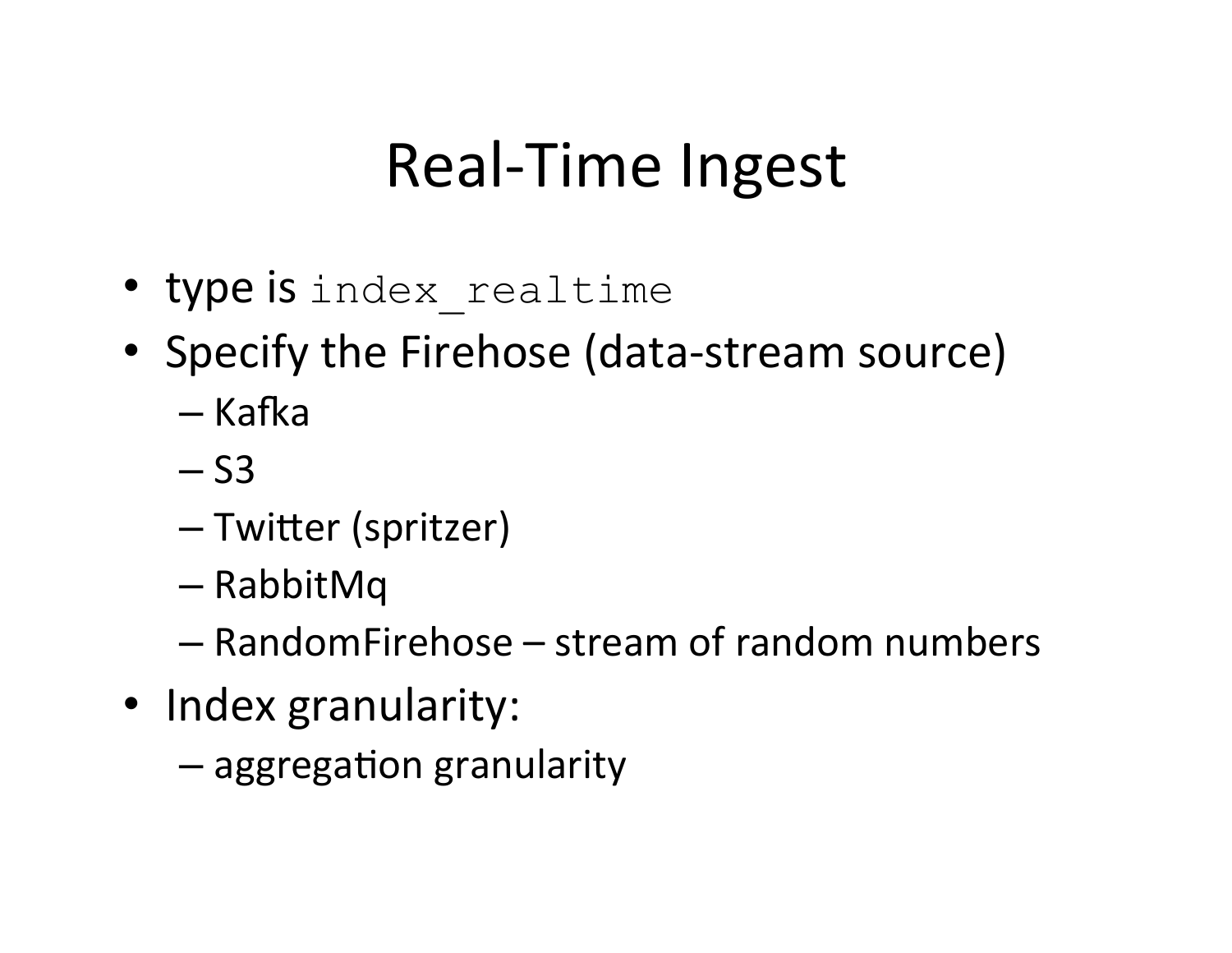### Real-Time Ingest

- type is index realtime
- Specify the Firehose (data-stream source)
	- Kafka
	- $-$  S3
	- Twitter (spritzer)
	- RabbitMq
	- $-$  RandomFirehose stream of random numbers
- Index granularity:
	- $-$  aggregation granularity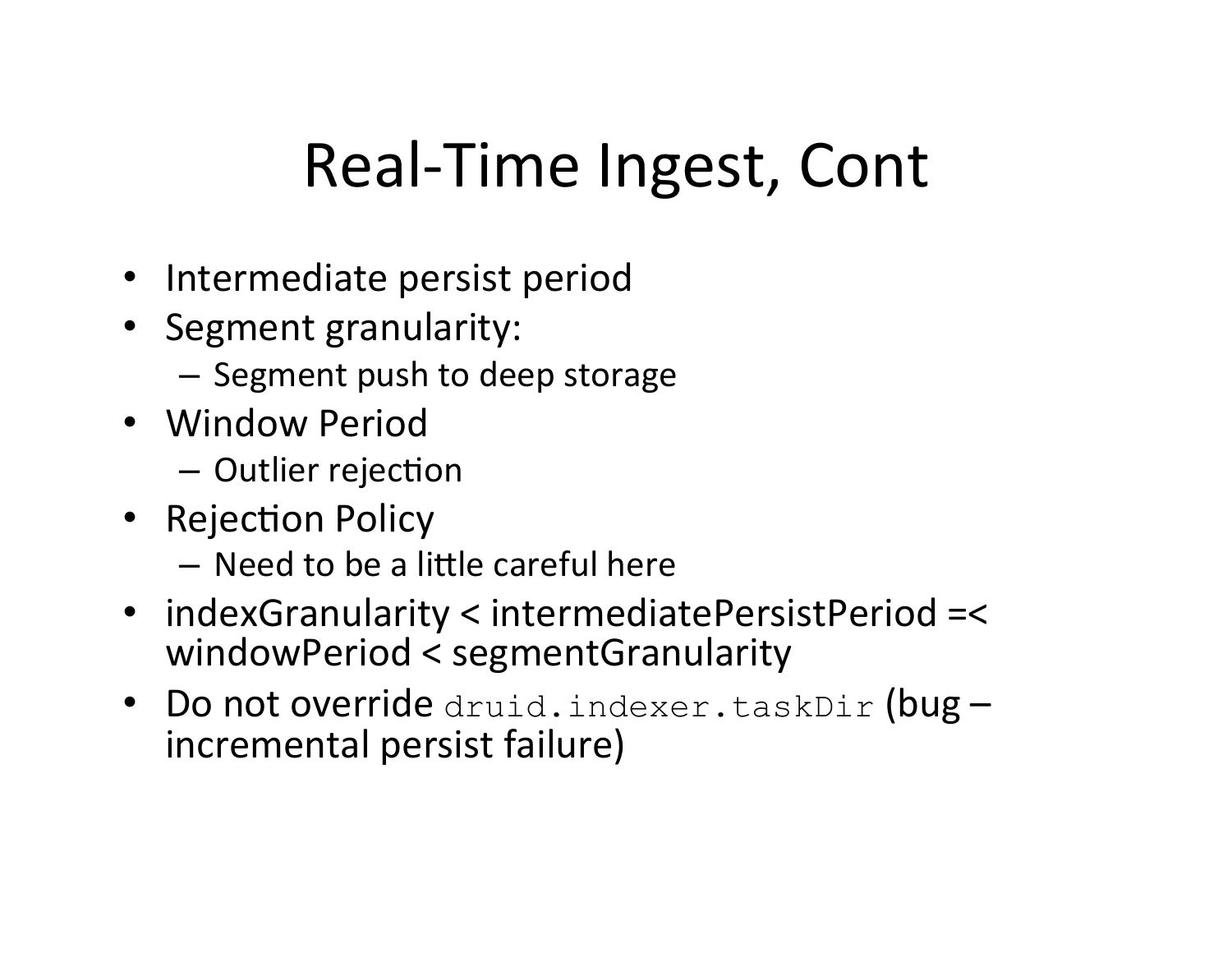## Real-Time Ingest, Cont

- Intermediate persist period
- Segment granularity:
	- $-$  Segment push to deep storage
- Window Period
	- $-$  Outlier rejection
- Rejection Policy
	- $-$  Need to be a little careful here
- indexGranularity < intermediatePersistPeriod =< windowPeriod < segmentGranularity
- Do not override druid.indexer.taskDir (bug  $$ incremental persist failure)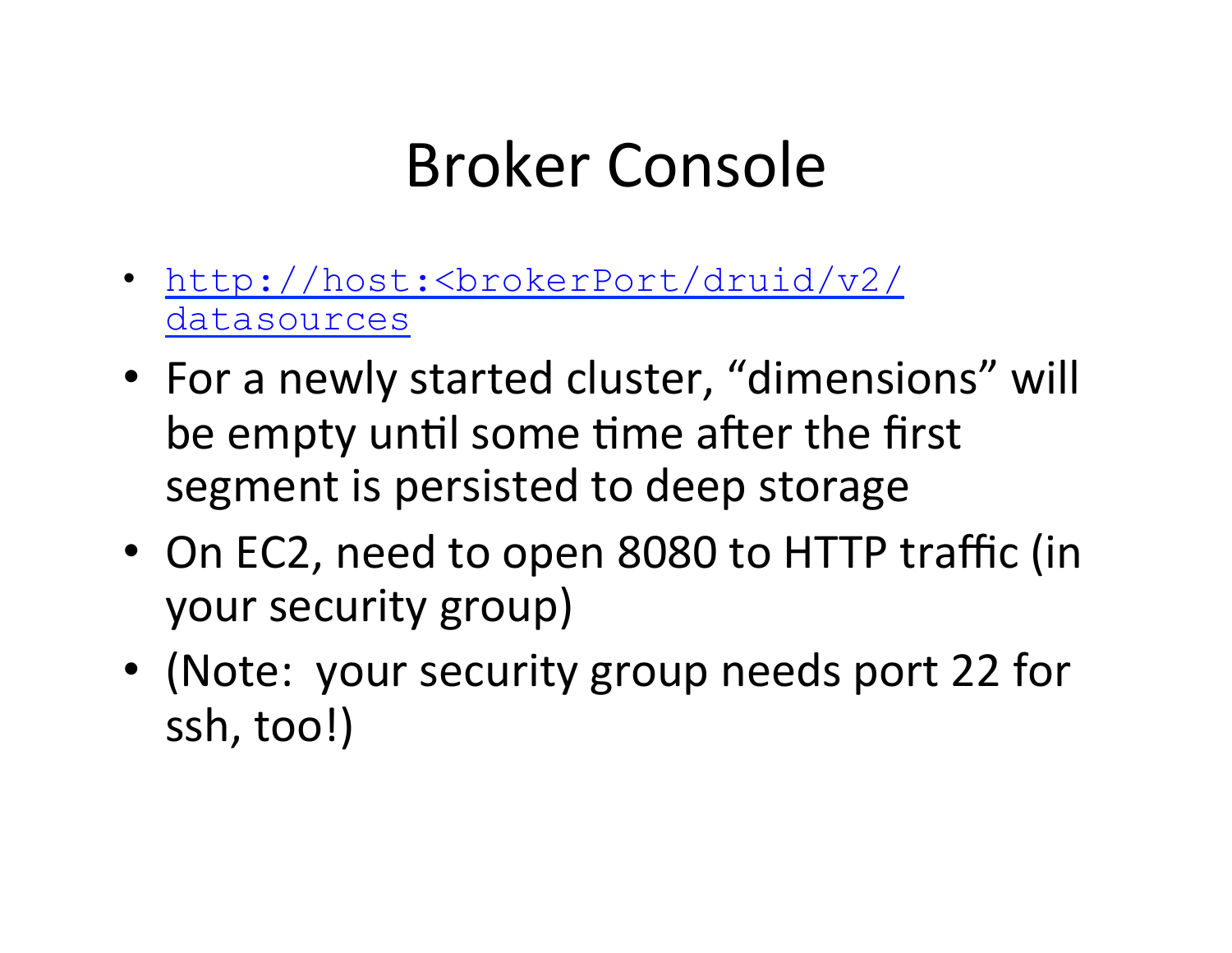## Broker Console

- http://host:<brokerPort/druid/v2/ datasources
- For a newly started cluster, "dimensions" will be empty until some time after the first segment is persisted to deep storage
- On EC2, need to open 8080 to HTTP traffic (in your security group)
- (Note: your security group needs port 22 for ssh, too!)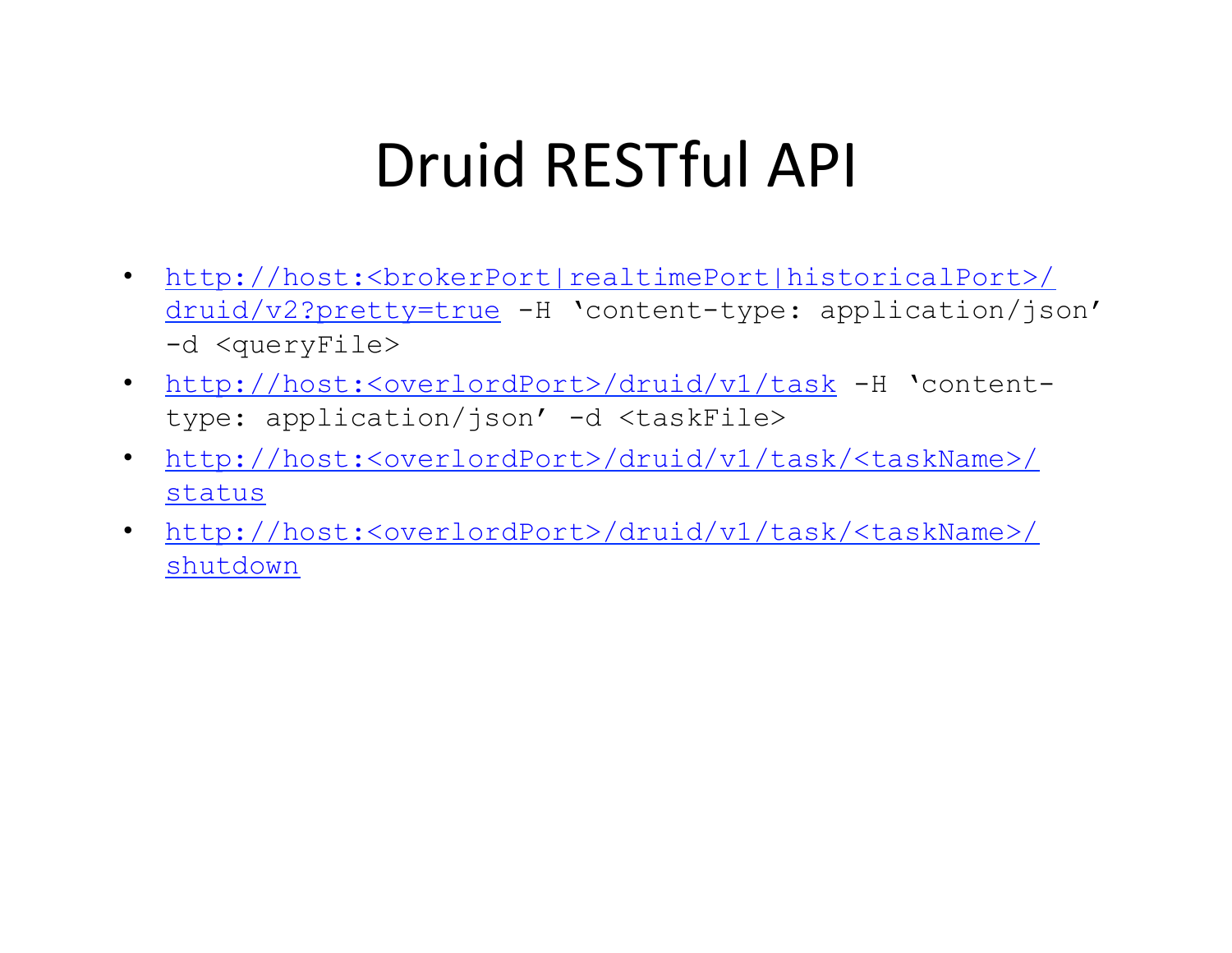## Druid RESTful API

- http://host:<brokerPort|realtimePort|historicalPort>/ druid/v2?pretty=true -H 'content-type: application/json' -d <queryFile>
- http://host:<overlordPort>/druid/v1/task -H 'contenttype: application/json' -d <taskFile>
- http://host:<overlordPort>/druid/v1/task/<taskName>/ status
- http://host:<overlordPort>/druid/v1/task/<taskName>/ shutdown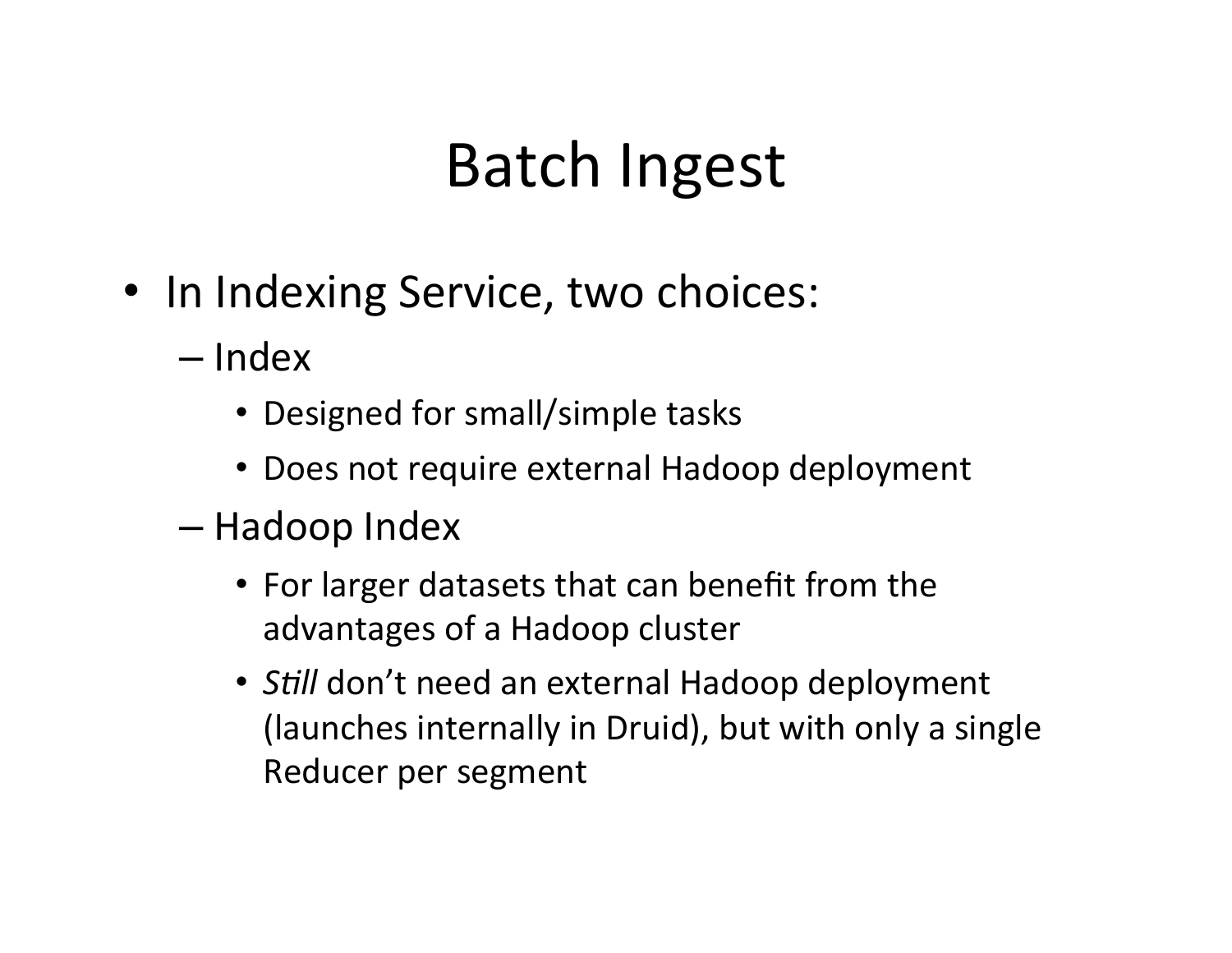#### Batch Ingest

- In Indexing Service, two choices:
	- Index
		- Designed for small/simple tasks
		- Does not require external Hadoop deployment
	- Hadoop Index
		- For larger datasets that can benefit from the advantages of a Hadoop cluster
		- *Still* don't need an external Hadoop deployment (launches internally in Druid), but with only a single Reducer per segment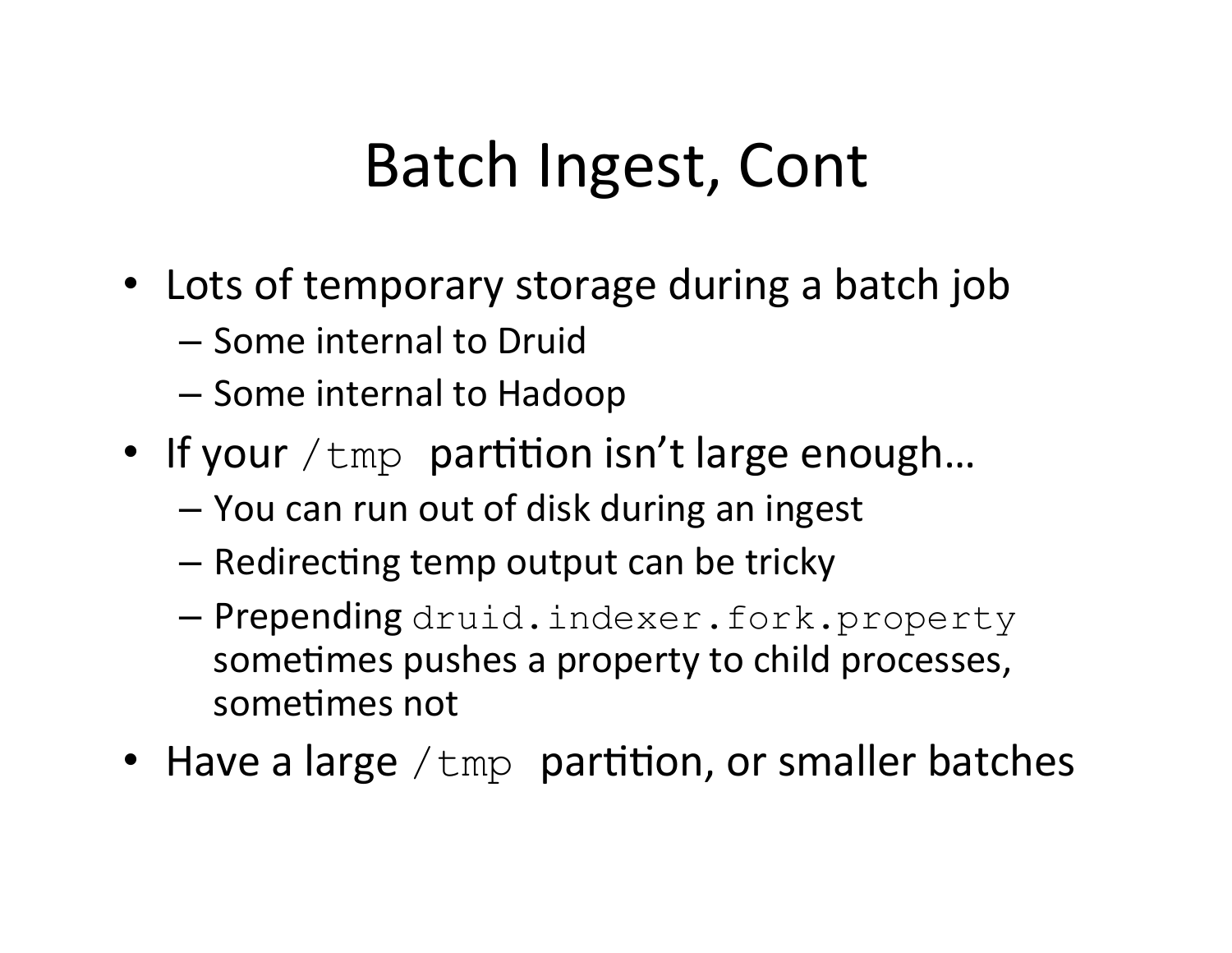## Batch Ingest, Cont

- Lots of temporary storage during a batch job
	- Some internal to Druid
	- $-$  Some internal to Hadoop
- If your  $/\text{tmp}$  partition isn't large enough...
	- $-$  You can run out of disk during an ingest
	- $-$  Redirecting temp output can be tricky
	- Prepending druid.indexer.fork.property sometimes pushes a property to child processes, sometimes not
- Have a large  $/\text{tmp}$  partition, or smaller batches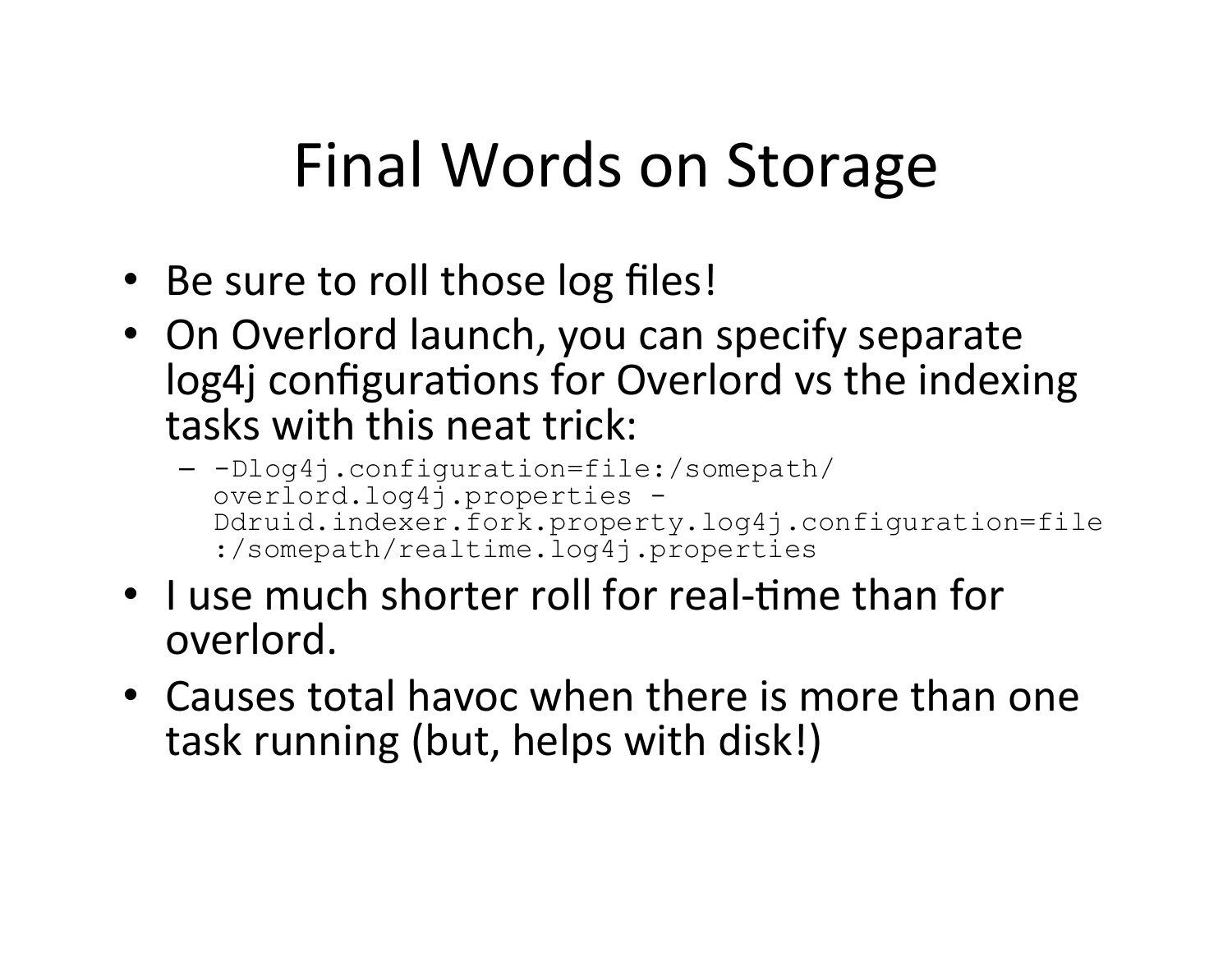## Final Words on Storage

- Be sure to roll those log files!
- On Overlord launch, you can specify separate log4j configurations for Overlord vs the indexing tasks with this neat trick:
	- -Dlog4j.configuration=file:/somepath/ overlord.log4j.properties - Ddruid.indexer.fork.property.log4j.configuration=file :/somepath/realtime.log4j.properties
- I use much shorter roll for real-time than for overlord.
- Causes total havoc when there is more than one task running (but, helps with disk!)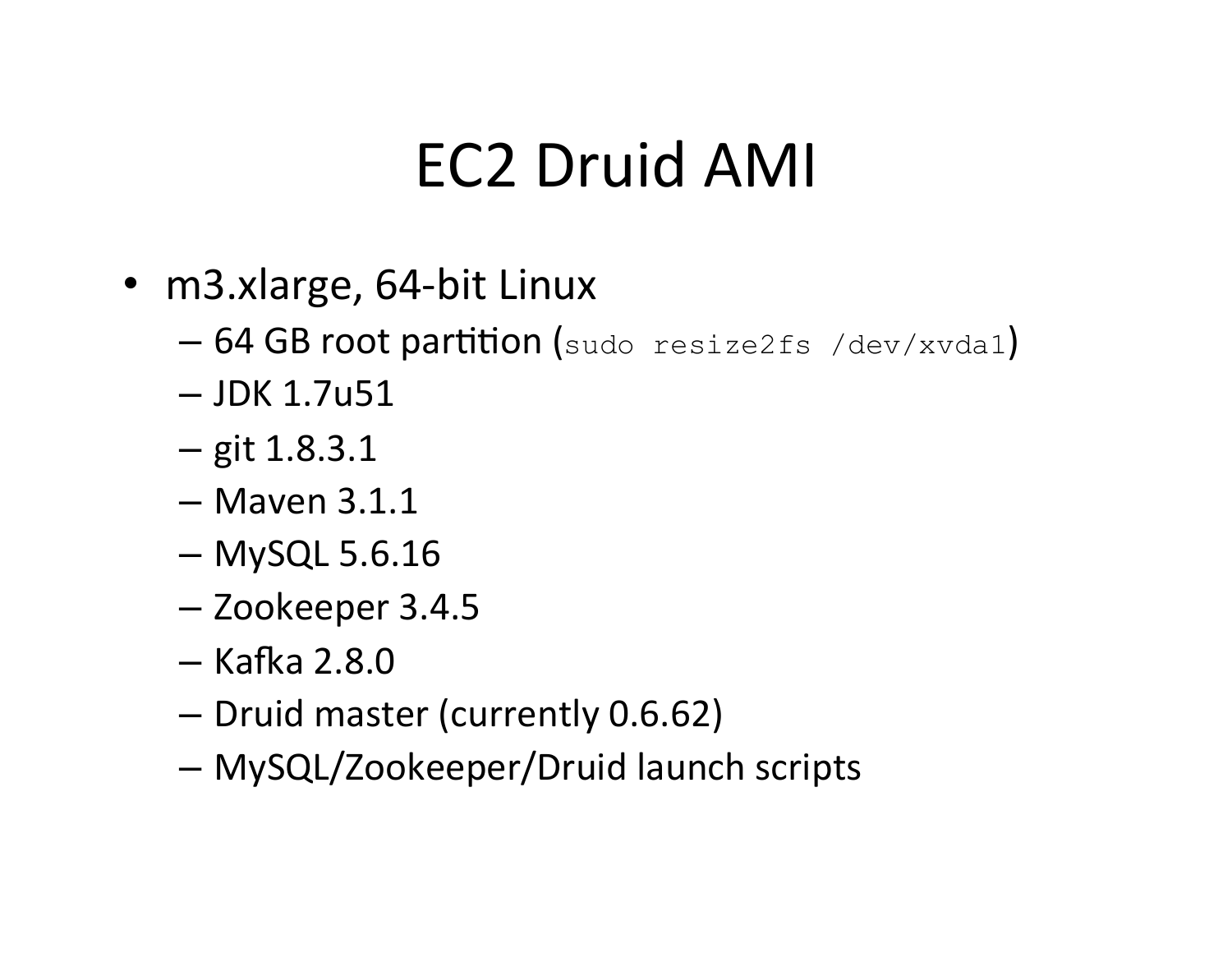### EC2 Druid AMI

- m3.xlarge, 64-bit Linux
	- $-64$  GB root partition (sudo resize2fs /dev/xvda1)
	- $-$  JDK 1.7u51
	- $-$  git 1.8.3.1
	- $-$  Maven 3.1.1
	- $-$  MySQL 5.6.16
	- Zookeeper 3.4.5
	- $-$  Kafka 2.8.0
	- Druid master (currently 0.6.62)
	- MySQL/Zookeeper/Druid launch scripts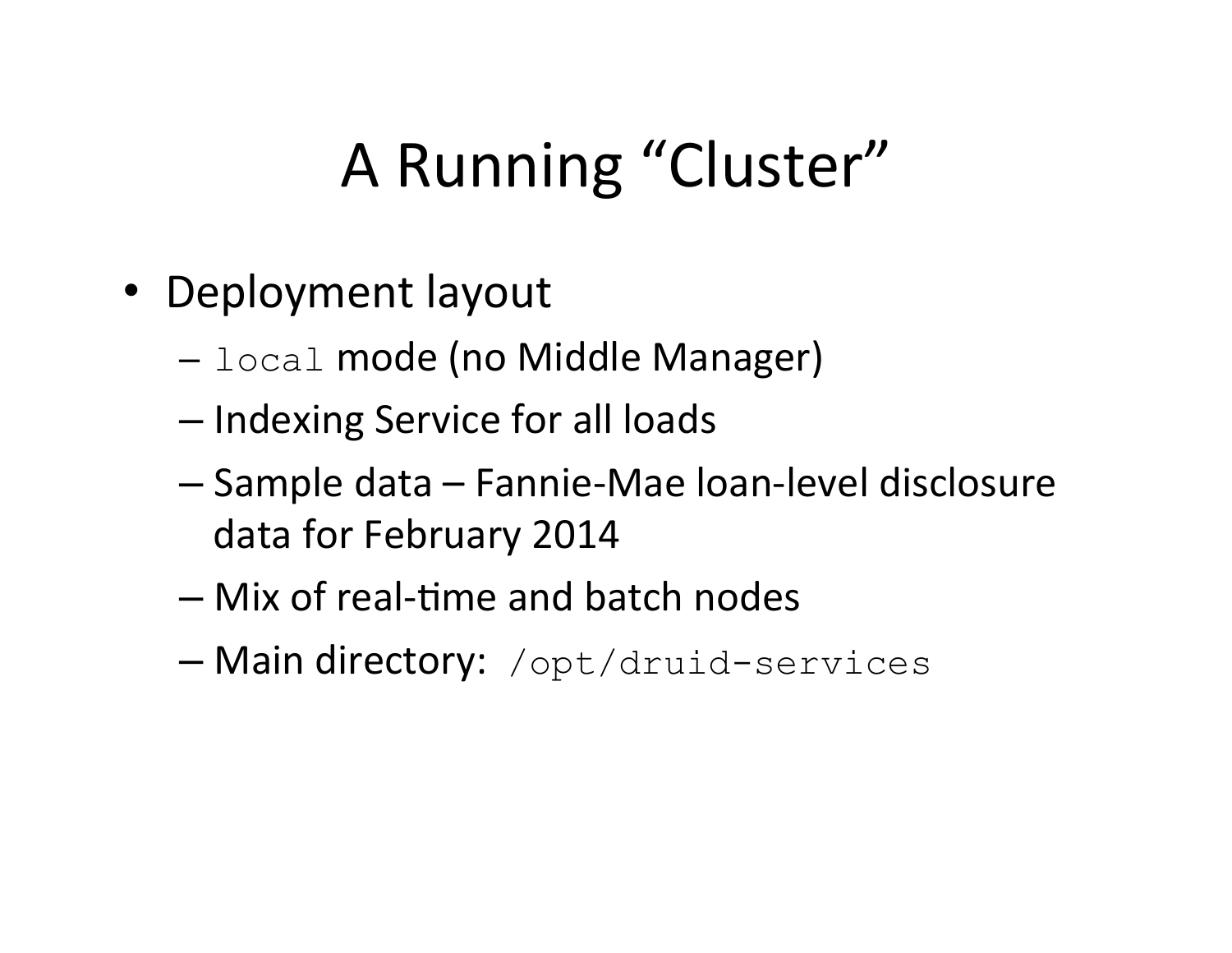## A Running "Cluster"

- Deployment layout
	- $-$  local mode (no Middle Manager)
	- Indexing Service for all loads
	- Sample data – Fannie-Mae loan-level disclosure data for February 2014
	- Mix of real-7me and batch nodes
	- Main directory: /opt/druid-services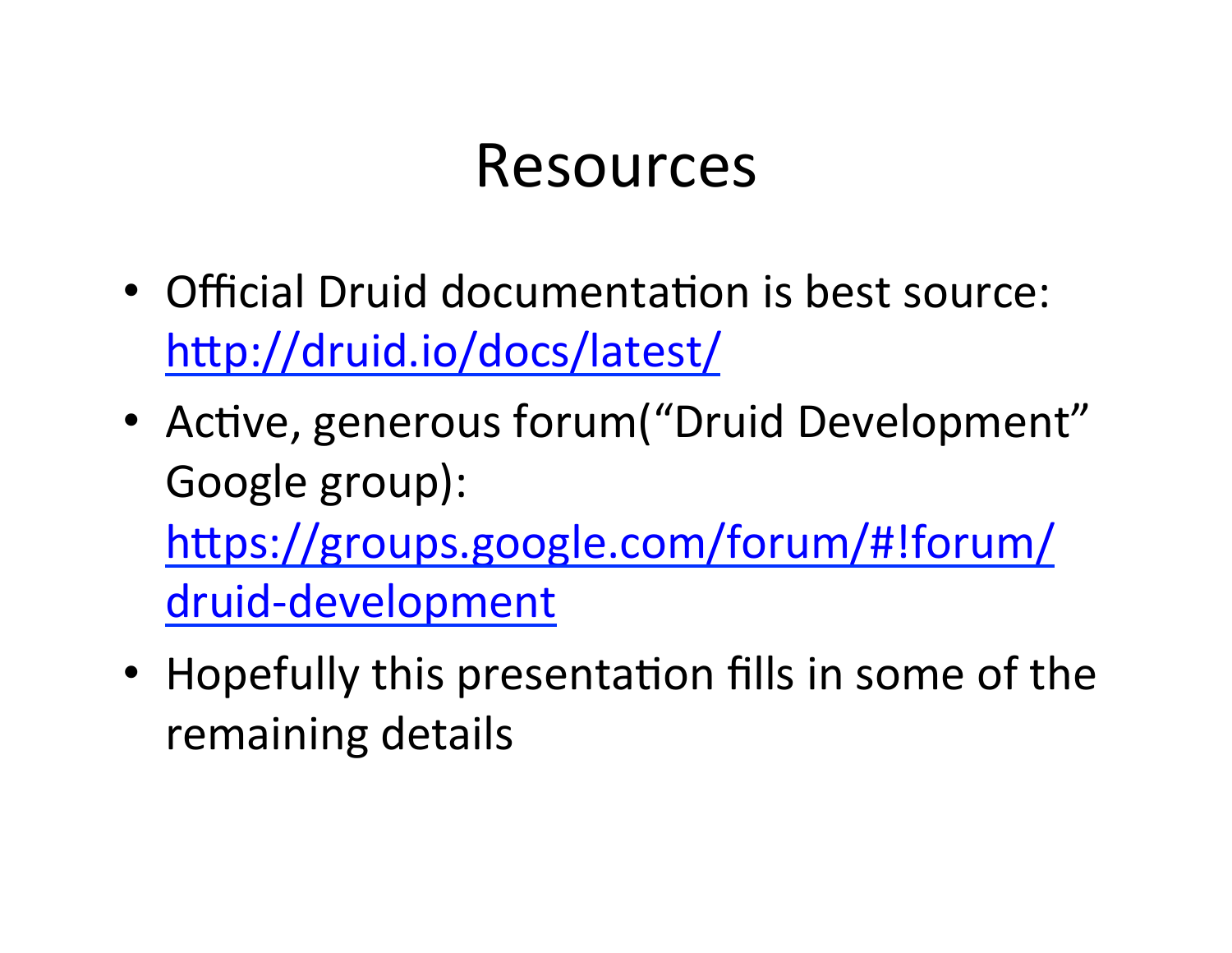#### Resources

- Official Druid documentation is best source: http://druid.io/docs/latest/
- Active, generous forum ("Druid Development" Google group): https://groups.google.com/forum/#!forum/ druid-development
- Hopefully this presentation fills in some of the remaining details